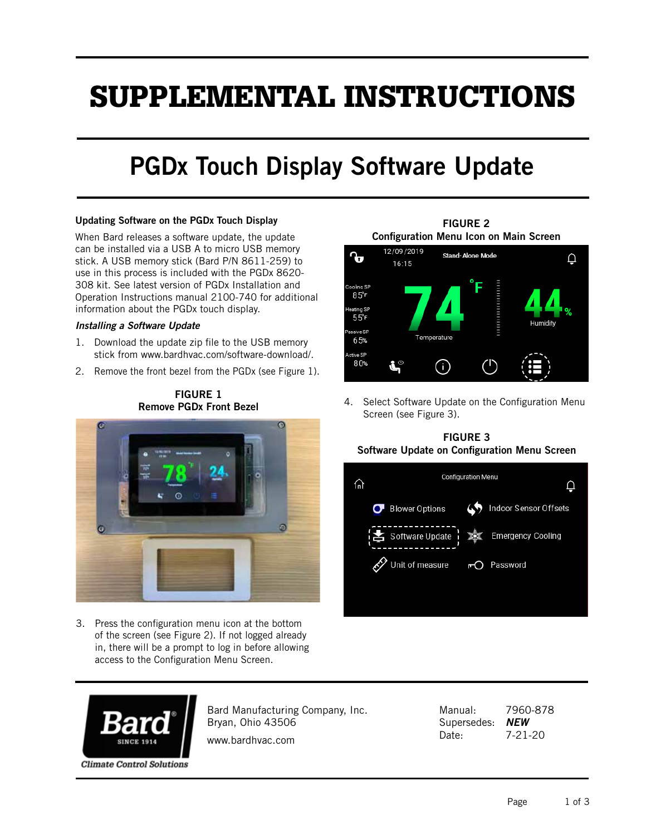# SUPPLEMENTAL INSTRUCTIONS

# PGDx Touch Display Software Update

#### Updating Software on the PGDx Touch Display

When Bard releases a software update, the update can be installed via a USB A to micro USB memory stick. A USB memory stick (Bard P/N 8611-259) to use in this process is included with the PGDx 8620- 308 kit. See latest version of PGDx Installation and Operation Instructions manual 2100-740 for additional information about the PGDx touch display.

#### *Installing a Software Update*

- 1. Download the update zip file to the USB memory stick from www.bardhvac.com/software-download/.
- 2. Remove the front bezel from the PGDx (see Figure 1).

FIGURE 1



3. Press the configuration menu icon at the bottom of the screen (see Figure 2). If not logged already in, there will be a prompt to log in before allowing access to the Configuration Menu Screen.

FIGURE 2 Configuration Menu Icon on Main Screen



4. Select Software Update on the Configuration Menu Screen (see Figure 3).

## FIGURE 3 Software Update on Configuration Menu Screen





Bard Manufacturing Company, Inc. Bryan, Ohio 43506

www.bardhvac.com

Manual: 7960-878 Supersedes: *NEW* Date: 7-21-20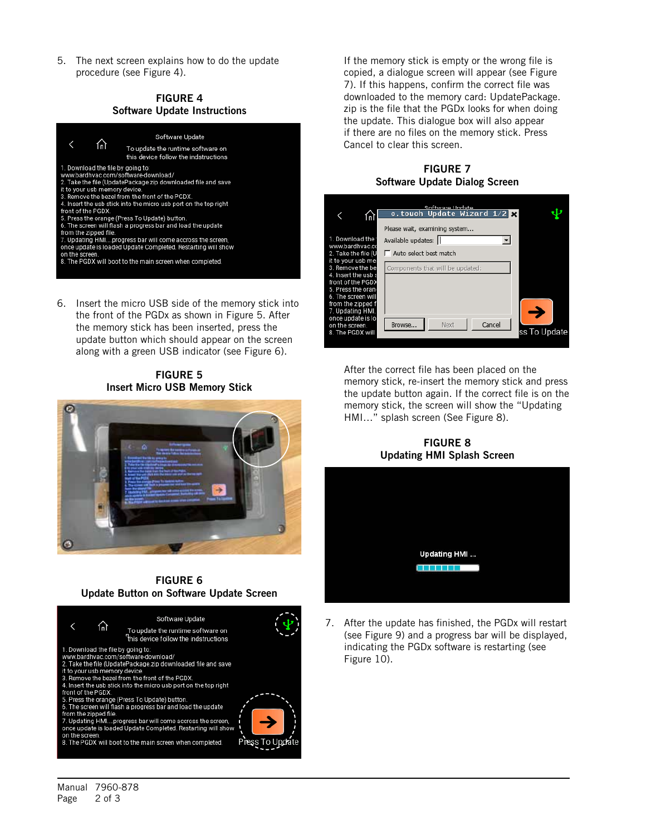5. The next screen explains how to do the update procedure (see Figure 4).

#### FIGURE 4 Software Update Instructions



6. Insert the micro USB side of the memory stick into the front of the PGDx as shown in Figure 5. After the memory stick has been inserted, press the update button which should appear on the screen along with a green USB indicator (see Figure 6).

# FIGURE 5 Insert Micro USB Memory Stick



## FIGURE 6 Update Button on Software Update Screen



If the memory stick is empty or the wrong file is copied, a dialogue screen will appear (see Figure 7). If this happens, confirm the correct file was downloaded to the memory card: UpdatePackage. zip is the file that the PGDx looks for when doing the update. This dialogue box will also appear if there are no files on the memory stick. Press Cancel to clear this screen.

FIGURE 7 Software Update Dialog Screen

|                                                                                                                                                                                                                                                                          | Software Hodate<br>c.touch Update Wizard $1/2$ $\times$                                                             |  |
|--------------------------------------------------------------------------------------------------------------------------------------------------------------------------------------------------------------------------------------------------------------------------|---------------------------------------------------------------------------------------------------------------------|--|
| 1. Download the '<br>www.bardhvac.co<br>2. Take the file (U<br>it to vour usb mel<br>3. Remove the bel<br>4. Insert the usb s<br>front of the PGDX<br>5. Press the oran <sub>'</sub><br>6. The screen will<br>from the zipped f<br>7. Updating HMI.<br>once update is lo | Please wait, examining system<br>Available updates:  <br>Auto select best match<br>Components that will be updated: |  |
| on the screen.<br>8. The PGDX will                                                                                                                                                                                                                                       | Cancel<br>Next<br>Browse<br>ss To Update                                                                            |  |

After the correct file has been placed on the memory stick, re-insert the memory stick and press the update button again. If the correct file is on the memory stick, the screen will show the "Updating HMI…" splash screen (See Figure 8).

FIGURE 8 Updating HMI Splash Screen



7. After the update has finished, the PGDx will restart (see Figure 9) and a progress bar will be displayed, indicating the PGDx software is restarting (see Figure 10).